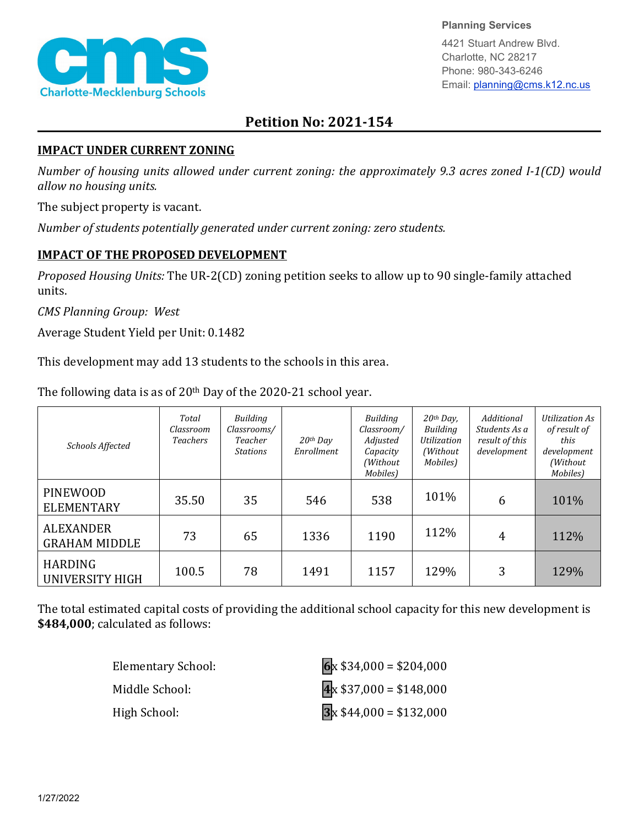

**Planning Services**

4421 Stuart Andrew Blvd. Charlotte, NC 28217 Phone: 980-343-6246 Email: planning@cms.k12.nc.us

## **Petition No: 2021-154**

## **IMPACT UNDER CURRENT ZONING**

*Number of housing units allowed under current zoning: the approximately 9.3 acres zoned I-1(CD) would allow no housing units.*

The subject property is vacant.

*Number of students potentially generated under current zoning: zero students.*

## **IMPACT OF THE PROPOSED DEVELOPMENT**

*Proposed Housing Units:* The UR-2(CD) zoning petition seeks to allow up to 90 single-family attached units.

*CMS Planning Group: West*

Average Student Yield per Unit: 0.1482

This development may add 13 students to the schools in this area.

| Schools Affected                         | Total<br>Classroom<br><b>Teachers</b> | <b>Building</b><br>Classrooms/<br>Teacher<br><b>Stations</b> | $20$ <sup>th</sup> Day<br>Enrollment | Building<br>Classroom/<br>Adjusted<br>Capacity<br>(Without<br>Mobiles) | $20th$ Day,<br>Building<br><i><u><b>Utilization</b></u></i><br>(Without)<br>Mobiles) | Additional<br>Students As a<br>result of this<br>development | Utilization As<br>of result of<br>this<br>development<br>(Without<br>Mobiles) |
|------------------------------------------|---------------------------------------|--------------------------------------------------------------|--------------------------------------|------------------------------------------------------------------------|--------------------------------------------------------------------------------------|--------------------------------------------------------------|-------------------------------------------------------------------------------|
| <b>PINEWOOD</b><br><b>ELEMENTARY</b>     | 35.50                                 | 35                                                           | 546                                  | 538                                                                    | 101%                                                                                 | 6                                                            | 101%                                                                          |
| <b>ALEXANDER</b><br><b>GRAHAM MIDDLE</b> | 73                                    | 65                                                           | 1336                                 | 1190                                                                   | 112%                                                                                 | 4                                                            | 112%                                                                          |
| <b>HARDING</b><br>UNIVERSITY HIGH        | 100.5                                 | 78                                                           | 1491                                 | 1157                                                                   | 129%                                                                                 | 3                                                            | 129%                                                                          |

The following data is as of 20<sup>th</sup> Day of the 2020-21 school year.

The total estimated capital costs of providing the additional school capacity for this new development is **\$484,000**; calculated as follows:

| Elementary School: | $6x $34,000 = $204,000$ |
|--------------------|-------------------------|
| Middle School:     | $4x $37,000 = $148,000$ |
| High School:       | $3x $44,000 = $132,000$ |